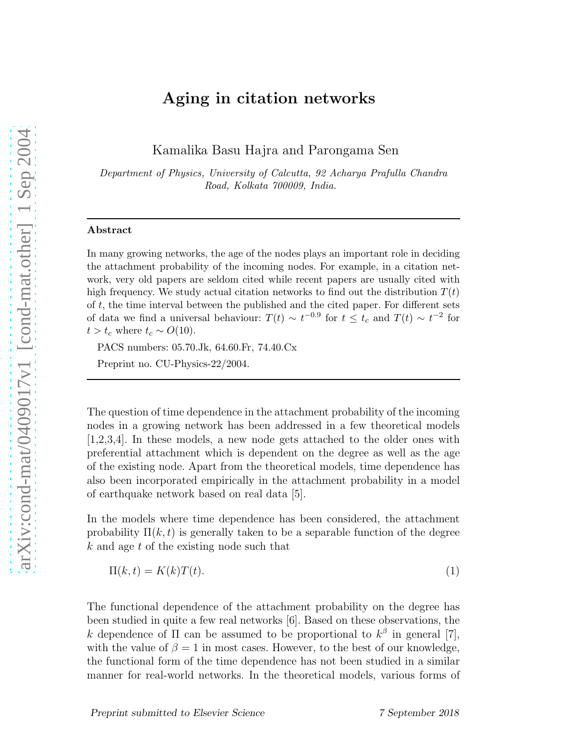# Aging in citation networks

Kamalika Basu Hajra and Parongama Sen

Department of Physics, University of Calcutta, 92 Acharya Prafulla Chandra Road, Kolkata 700009, India.

### Abstract

In many growing networks, the age of the nodes plays an important role in deciding the attachment probability of the incoming nodes. For example, in a citation network, very old papers are seldom cited while recent papers are usually cited with high frequency. We study actual citation networks to find out the distribution  $T(t)$ of  $t$ , the time interval between the published and the cited paper. For different sets of data we find a universal behaviour:  $T(t) \sim t^{-0.9}$  for  $t \leq t_c$  and  $T(t) \sim t^{-2}$  for  $t > t_c$  where  $t_c \sim O(10)$ .

PACS numbers: 05.70.Jk, 64.60.Fr, 74.40.Cx

Preprint no. CU-Physics-22/2004.

The question of time dependence in the attachment probability of the incoming nodes in a growing network has been addressed in a few theoretical models [1,2,3,4]. In these models, a new node gets attached to the older ones with preferential attachment which is dependent on the degree as well as the age of the existing node. Apart from the theoretical models, time dependence has also been incorporated empirically in the attachment probability in a model of earthquake network based on real data [5].

In the models where time dependence has been considered, the attachment probability  $\Pi(k, t)$  is generally taken to be a separable function of the degree k and age t of the existing node such that

$$
\Pi(k,t) = K(k)T(t). \tag{1}
$$

The functional dependence of the attachment probability on the degree has been studied in quite a few real networks [6]. Based on these observations, the k dependence of  $\Pi$  can be assumed to be proportional to  $k^{\beta}$  in general [7], with the value of  $\beta = 1$  in most cases. However, to the best of our knowledge, the functional form of the time dependence has not been studied in a similar manner for real-world networks. In the theoretical models, various forms of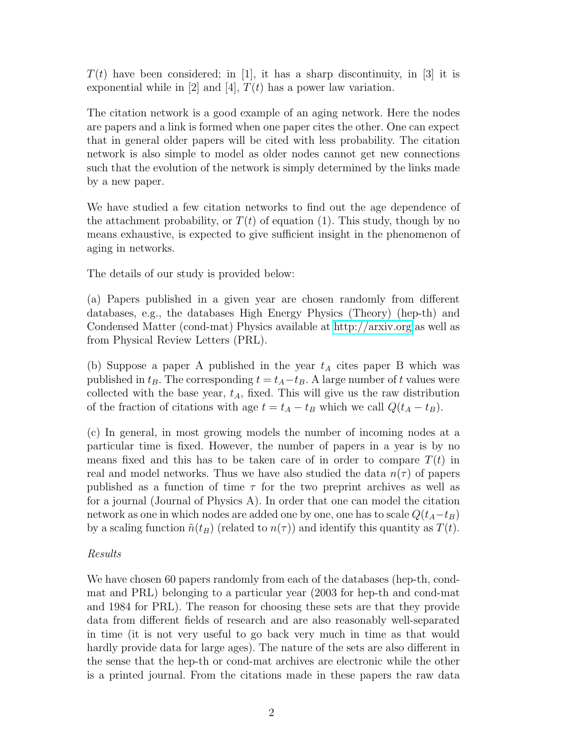$T(t)$  have been considered; in [1], it has a sharp discontinuity, in [3] it is exponential while in [2] and [4],  $T(t)$  has a power law variation.

The citation network is a good example of an aging network. Here the nodes are papers and a link is formed when one paper cites the other. One can expect that in general older papers will be cited with less probability. The citation network is also simple to model as older nodes cannot get new connections such that the evolution of the network is simply determined by the links made by a new paper.

We have studied a few citation networks to find out the age dependence of the attachment probability, or  $T(t)$  of equation (1). This study, though by no means exhaustive, is expected to give sufficient insight in the phenomenon of aging in networks.

The details of our study is provided below:

(a) Papers published in a given year are chosen randomly from different databases, e.g., the databases High Energy Physics (Theory) (hep-th) and Condensed Matter (cond-mat) Physics available at<http://arxiv.org> as well as from Physical Review Letters (PRL).

(b) Suppose a paper A published in the year  $t_A$  cites paper B which was published in  $t_B$ . The corresponding  $t = t_A - t_B$ . A large number of t values were collected with the base year,  $t_A$ , fixed. This will give us the raw distribution of the fraction of citations with age  $t = t_A - t_B$  which we call  $Q(t_A - t_B)$ .

(c) In general, in most growing models the number of incoming nodes at a particular time is fixed. However, the number of papers in a year is by no means fixed and this has to be taken care of in order to compare  $T(t)$  in real and model networks. Thus we have also studied the data  $n(\tau)$  of papers published as a function of time  $\tau$  for the two preprint archives as well as for a journal (Journal of Physics A). In order that one can model the citation network as one in which nodes are added one by one, one has to scale  $Q(t_A-t_B)$ by a scaling function  $\tilde{n}(t_B)$  (related to  $n(\tau)$ ) and identify this quantity as  $T(t)$ .

## Results

We have chosen 60 papers randomly from each of the databases (hep-th, condmat and PRL) belonging to a particular year (2003 for hep-th and cond-mat and 1984 for PRL). The reason for choosing these sets are that they provide data from different fields of research and are also reasonably well-separated in time (it is not very useful to go back very much in time as that would hardly provide data for large ages). The nature of the sets are also different in the sense that the hep-th or cond-mat archives are electronic while the other is a printed journal. From the citations made in these papers the raw data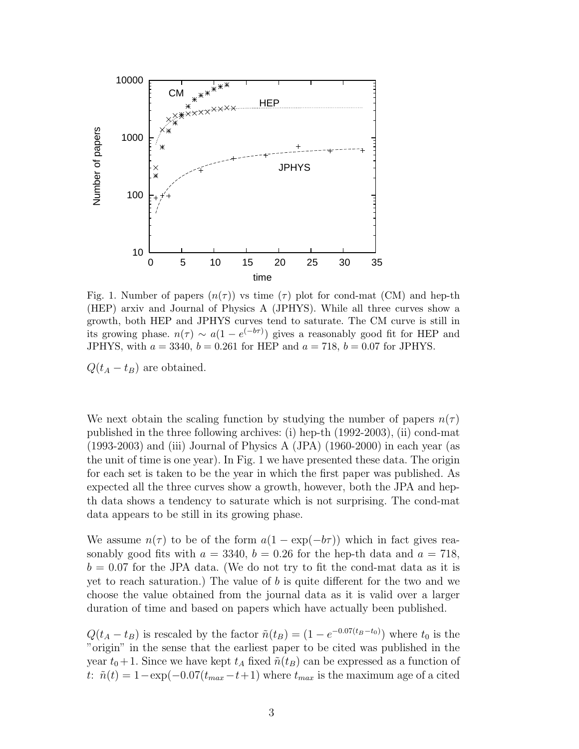

Fig. 1. Number of papers  $(n(\tau))$  vs time  $(\tau)$  plot for cond-mat (CM) and hep-th (HEP) arxiv and Journal of Physics A (JPHYS). While all three curves show a growth, both HEP and JPHYS curves tend to saturate. The CM curve is still in its growing phase.  $n(\tau) \sim a(1 - e^{(-b\tau)})$  gives a reasonably good fit for HEP and JPHYS, with  $a = 3340, b = 0.261$  for HEP and  $a = 718, b = 0.07$  for JPHYS.

 $Q(t_A - t_B)$  are obtained.

We next obtain the scaling function by studying the number of papers  $n(\tau)$ published in the three following archives: (i) hep-th (1992-2003), (ii) cond-mat (1993-2003) and (iii) Journal of Physics A (JPA) (1960-2000) in each year (as the unit of time is one year). In Fig. 1 we have presented these data. The origin for each set is taken to be the year in which the first paper was published. As expected all the three curves show a growth, however, both the JPA and hepth data shows a tendency to saturate which is not surprising. The cond-mat data appears to be still in its growing phase.

We assume  $n(\tau)$  to be of the form  $a(1 - \exp(-b\tau))$  which in fact gives reasonably good fits with  $a = 3340$ ,  $b = 0.26$  for the hep-th data and  $a = 718$ ,  $b = 0.07$  for the JPA data. (We do not try to fit the cond-mat data as it is yet to reach saturation.) The value of  $b$  is quite different for the two and we choose the value obtained from the journal data as it is valid over a larger duration of time and based on papers which have actually been published.

 $Q(t_A - t_B)$  is rescaled by the factor  $\tilde{n}(t_B) = (1 - e^{-0.07(t_B - t_0)})$  where  $t_0$  is the "origin" in the sense that the earliest paper to be cited was published in the year  $t_0 + 1$ . Since we have kept  $t_A$  fixed  $\tilde{n}(t_B)$  can be expressed as a function of t:  $\tilde{n}(t) = 1 - \exp(-0.07(t_{max}-t+1))$  where  $t_{max}$  is the maximum age of a cited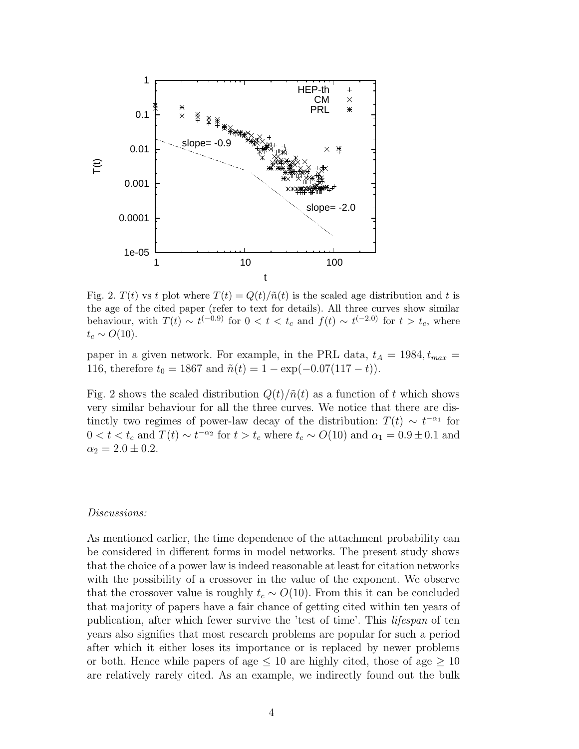

Fig. 2.  $T(t)$  vs t plot where  $T(t) = Q(t)/\tilde{n}(t)$  is the scaled age distribution and t is the age of the cited paper (refer to text for details). All three curves show similar behaviour, with  $T(t) \sim t^{(-0.9)}$  for  $0 < t < t_c$  and  $f(t) \sim t^{(-2.0)}$  for  $t > t_c$ , where  $t_c \sim O(10)$ .

paper in a given network. For example, in the PRL data,  $t_A = 1984, t_{max} =$ 116, therefore  $t_0 = 1867$  and  $\tilde{n}(t) = 1 - \exp(-0.07(117 - t)).$ 

Fig. 2 shows the scaled distribution  $Q(t)/\tilde{n}(t)$  as a function of t which shows very similar behaviour for all the three curves. We notice that there are distinctly two regimes of power-law decay of the distribution:  $T(t) \sim t^{-\alpha_1}$  for  $0 < t < t_c$  and  $T(t) \sim t^{-\alpha_2}$  for  $t > t_c$  where  $t_c \sim O(10)$  and  $\alpha_1 = 0.9 \pm 0.1$  and  $\alpha_2 = 2.0 \pm 0.2$ .

#### Discussions:

As mentioned earlier, the time dependence of the attachment probability can be considered in different forms in model networks. The present study shows that the choice of a power law is indeed reasonable at least for citation networks with the possibility of a crossover in the value of the exponent. We observe that the crossover value is roughly  $t_c \sim O(10)$ . From this it can be concluded that majority of papers have a fair chance of getting cited within ten years of publication, after which fewer survive the 'test of time'. This lifespan of ten years also signifies that most research problems are popular for such a period after which it either loses its importance or is replaced by newer problems or both. Hence while papers of age  $\leq 10$  are highly cited, those of age  $\geq 10$ are relatively rarely cited. As an example, we indirectly found out the bulk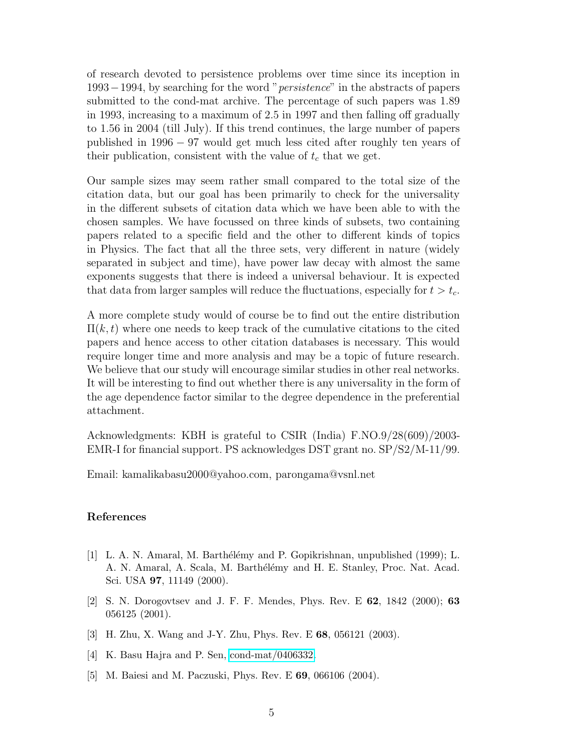of research devoted to persistence problems over time since its inception in 1993−1994, by searching for the word "persistence" in the abstracts of papers submitted to the cond-mat archive. The percentage of such papers was 1.89 in 1993, increasing to a maximum of 2.5 in 1997 and then falling off gradually to 1.56 in 2004 (till July). If this trend continues, the large number of papers published in 1996 − 97 would get much less cited after roughly ten years of their publication, consistent with the value of  $t_c$  that we get.

Our sample sizes may seem rather small compared to the total size of the citation data, but our goal has been primarily to check for the universality in the different subsets of citation data which we have been able to with the chosen samples. We have focussed on three kinds of subsets, two containing papers related to a specific field and the other to different kinds of topics in Physics. The fact that all the three sets, very different in nature (widely separated in subject and time), have power law decay with almost the same exponents suggests that there is indeed a universal behaviour. It is expected that data from larger samples will reduce the fluctuations, especially for  $t > t_c$ .

A more complete study would of course be to find out the entire distribution  $\Pi(k, t)$  where one needs to keep track of the cumulative citations to the cited papers and hence access to other citation databases is necessary. This would require longer time and more analysis and may be a topic of future research. We believe that our study will encourage similar studies in other real networks. It will be interesting to find out whether there is any universality in the form of the age dependence factor similar to the degree dependence in the preferential attachment.

Acknowledgments: KBH is grateful to CSIR (India) F.NO.9/28(609)/2003- EMR-I for financial support. PS acknowledges DST grant no. SP/S2/M-11/99.

Email: kamalikabasu2000@yahoo.com, parongama@vsnl.net

### References

- [1] L. A. N. Amaral, M. Barth´el´emy and P. Gopikrishnan, unpublished (1999); L. A. N. Amaral, A. Scala, M. Barthélémy and H. E. Stanley, Proc. Nat. Acad. Sci. USA 97, 11149 (2000).
- [2] S. N. Dorogovtsev and J. F. F. Mendes, Phys. Rev. E 62, 1842 (2000); 63 056125 (2001).
- [3] H. Zhu, X. Wang and J-Y. Zhu, Phys. Rev. E 68, 056121 (2003).
- [4] K. Basu Hajra and P. Sen, [cond-mat/0406332.](http://arxiv.org/abs/cond-mat/0406332)
- [5] M. Baiesi and M. Paczuski, Phys. Rev. E 69, 066106 (2004).